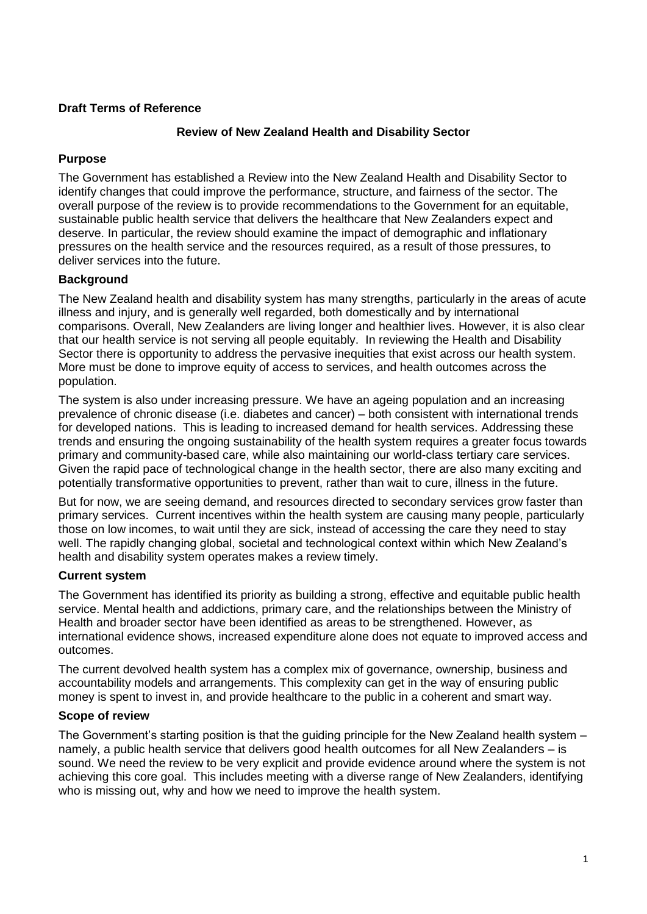## **Draft Terms of Reference**

### **Review of New Zealand Health and Disability Sector**

# **Purpose**

The Government has established a Review into the New Zealand Health and Disability Sector to identify changes that could improve the performance, structure, and fairness of the sector. The overall purpose of the review is to provide recommendations to the Government for an equitable, sustainable public health service that delivers the healthcare that New Zealanders expect and deserve. In particular, the review should examine the impact of demographic and inflationary pressures on the health service and the resources required, as a result of those pressures, to deliver services into the future.

## **Background**

The New Zealand health and disability system has many strengths, particularly in the areas of acute illness and injury, and is generally well regarded, both domestically and by international comparisons. Overall, New Zealanders are living longer and healthier lives. However, it is also clear that our health service is not serving all people equitably. In reviewing the Health and Disability Sector there is opportunity to address the pervasive inequities that exist across our health system. More must be done to improve equity of access to services, and health outcomes across the population.

The system is also under increasing pressure. We have an ageing population and an increasing prevalence of chronic disease (i.e. diabetes and cancer) – both consistent with international trends for developed nations. This is leading to increased demand for health services. Addressing these trends and ensuring the ongoing sustainability of the health system requires a greater focus towards primary and community-based care, while also maintaining our world-class tertiary care services. Given the rapid pace of technological change in the health sector, there are also many exciting and potentially transformative opportunities to prevent, rather than wait to cure, illness in the future.

But for now, we are seeing demand, and resources directed to secondary services grow faster than primary services. Current incentives within the health system are causing many people, particularly those on low incomes, to wait until they are sick, instead of accessing the care they need to stay well. The rapidly changing global, societal and technological context within which New Zealand's health and disability system operates makes a review timely.

#### **Current system**

The Government has identified its priority as building a strong, effective and equitable public health service. Mental health and addictions, primary care, and the relationships between the Ministry of Health and broader sector have been identified as areas to be strengthened. However, as international evidence shows, increased expenditure alone does not equate to improved access and outcomes.

The current devolved health system has a complex mix of governance, ownership, business and accountability models and arrangements. This complexity can get in the way of ensuring public money is spent to invest in, and provide healthcare to the public in a coherent and smart way.

#### **Scope of review**

The Government's starting position is that the guiding principle for the New Zealand health system – namely, a public health service that delivers good health outcomes for all New Zealanders – is sound. We need the review to be very explicit and provide evidence around where the system is not achieving this core goal. This includes meeting with a diverse range of New Zealanders, identifying who is missing out, why and how we need to improve the health system.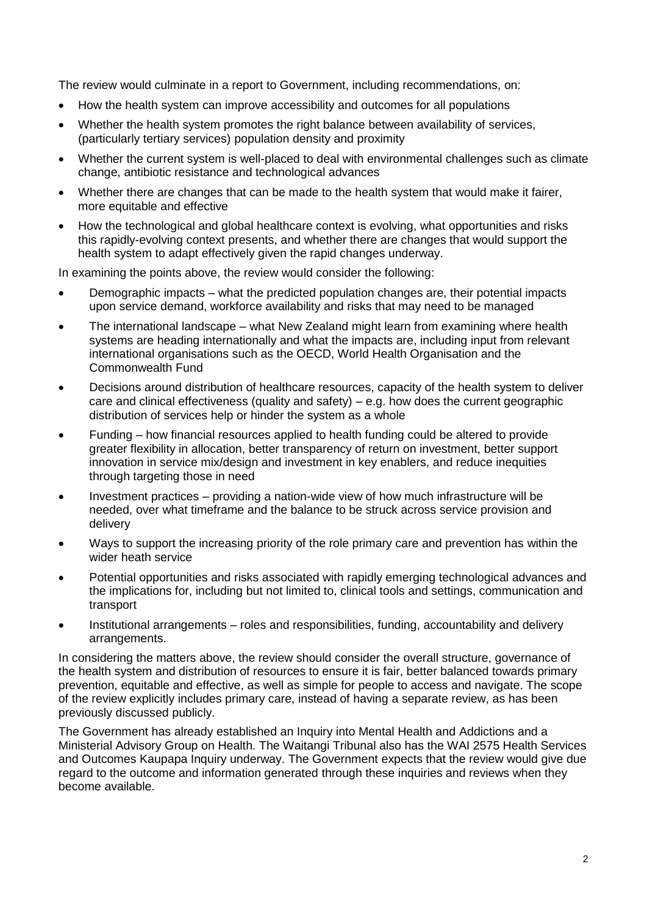The review would culminate in a report to Government, including recommendations, on:

- How the health system can improve accessibility and outcomes for all populations
- Whether the health system promotes the right balance between availability of services, (particularly tertiary services) population density and proximity
- Whether the current system is well-placed to deal with environmental challenges such as climate change, antibiotic resistance and technological advances
- Whether there are changes that can be made to the health system that would make it fairer, more equitable and effective
- How the technological and global healthcare context is evolving, what opportunities and risks this rapidly-evolving context presents, and whether there are changes that would support the health system to adapt effectively given the rapid changes underway.

In examining the points above, the review would consider the following:

- Demographic impacts what the predicted population changes are, their potential impacts upon service demand, workforce availability and risks that may need to be managed
- The international landscape what New Zealand might learn from examining where health systems are heading internationally and what the impacts are, including input from relevant international organisations such as the OECD, World Health Organisation and the Commonwealth Fund
- Decisions around distribution of healthcare resources, capacity of the health system to deliver care and clinical effectiveness (quality and safety) – e.g. how does the current geographic distribution of services help or hinder the system as a whole
- Funding how financial resources applied to health funding could be altered to provide greater flexibility in allocation, better transparency of return on investment, better support innovation in service mix/design and investment in key enablers, and reduce inequities through targeting those in need
- Investment practices providing a nation-wide view of how much infrastructure will be needed, over what timeframe and the balance to be struck across service provision and delivery
- Ways to support the increasing priority of the role primary care and prevention has within the wider heath service
- Potential opportunities and risks associated with rapidly emerging technological advances and the implications for, including but not limited to, clinical tools and settings, communication and transport
- Institutional arrangements roles and responsibilities, funding, accountability and delivery arrangements.

In considering the matters above, the review should consider the overall structure, governance of the health system and distribution of resources to ensure it is fair, better balanced towards primary prevention, equitable and effective, as well as simple for people to access and navigate. The scope of the review explicitly includes primary care, instead of having a separate review, as has been previously discussed publicly.

The Government has already established an Inquiry into Mental Health and Addictions and a Ministerial Advisory Group on Health. The Waitangi Tribunal also has the WAI 2575 Health Services and Outcomes Kaupapa Inquiry underway. The Government expects that the review would give due regard to the outcome and information generated through these inquiries and reviews when they become available.